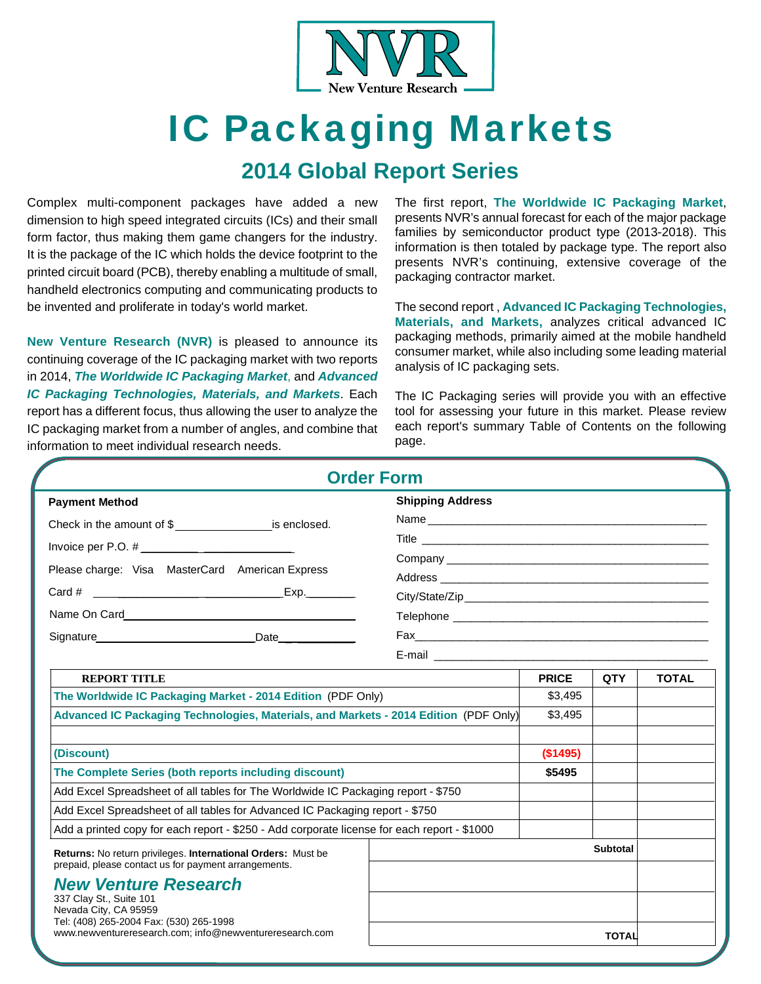

# IC Packaging Markets

### **2014 Global Report Series**

Complex multi-component packages have added a new dimension to high speed integrated circuits (ICs) and their small form factor, thus making them game changers for the industry. It is the package of the IC which holds the device footprint to the printed circuit board (PCB), thereby enabling a multitude of small, handheld electronics computing and communicating products to be invented and proliferate in today's world market.

**New Venture Research (NVR)** is pleased to announce its continuing coverage of the IC packaging market with two reports in 2014, *The Worldwide IC Packaging Market*, and *Advanced IC Packaging Technologies, Materials, and Markets*. Each report has a different focus, thus allowing the user to analyze the IC packaging market from a number of angles, and combine that information to meet individual research needs.

The first report, **The Worldwide IC Packaging Market**, presents NVR's annual forecast for each of the major package families by semiconductor product type (2013-2018). This information is then totaled by package type. The report also presents NVR's continuing, extensive coverage of the packaging contractor market.

The second report , **Advanced IC Packaging Technologies, Materials, and Markets,** analyzes critical advanced IC packaging methods, primarily aimed at the mobile handheld consumer market, while also including some leading material analysis of IC packaging sets.

The IC Packaging series will provide you with an effective tool for assessing your future in this market. Please review each report's summary Table of Contents on the following page.

|                                                                                                                            |                                                                                             | <b>Order Form</b>                                                                                                                                                                                                             |              |              |              |  |
|----------------------------------------------------------------------------------------------------------------------------|---------------------------------------------------------------------------------------------|-------------------------------------------------------------------------------------------------------------------------------------------------------------------------------------------------------------------------------|--------------|--------------|--------------|--|
| <b>Payment Method</b>                                                                                                      |                                                                                             | <b>Shipping Address</b>                                                                                                                                                                                                       |              |              |              |  |
| Check in the amount of \$_________________________ is enclosed.                                                            |                                                                                             |                                                                                                                                                                                                                               |              |              |              |  |
|                                                                                                                            |                                                                                             |                                                                                                                                                                                                                               |              |              |              |  |
| Please charge: Visa MasterCard American Express                                                                            |                                                                                             | Company experience and the company of the company of the company of the company of the company of the company of the company of the company of the company of the company of the company of the company of the company of the |              |              |              |  |
|                                                                                                                            |                                                                                             |                                                                                                                                                                                                                               |              |              |              |  |
|                                                                                                                            |                                                                                             |                                                                                                                                                                                                                               |              |              |              |  |
|                                                                                                                            |                                                                                             |                                                                                                                                                                                                                               |              |              |              |  |
| Signature Date                                                                                                             |                                                                                             |                                                                                                                                                                                                                               |              |              |              |  |
|                                                                                                                            |                                                                                             |                                                                                                                                                                                                                               |              |              |              |  |
| <b>REPORT TITLE</b>                                                                                                        |                                                                                             |                                                                                                                                                                                                                               | <b>PRICE</b> | <b>QTY</b>   | <b>TOTAL</b> |  |
| The Worldwide IC Packaging Market - 2014 Edition (PDF Only)                                                                |                                                                                             |                                                                                                                                                                                                                               | \$3,495      |              |              |  |
| Advanced IC Packaging Technologies, Materials, and Markets - 2014 Edition (PDF Only)                                       |                                                                                             |                                                                                                                                                                                                                               | \$3,495      |              |              |  |
|                                                                                                                            |                                                                                             |                                                                                                                                                                                                                               |              |              |              |  |
| (Discount)                                                                                                                 |                                                                                             |                                                                                                                                                                                                                               | (\$1495)     |              |              |  |
| The Complete Series (both reports including discount)                                                                      |                                                                                             |                                                                                                                                                                                                                               | \$5495       |              |              |  |
|                                                                                                                            | Add Excel Spreadsheet of all tables for The Worldwide IC Packaging report - \$750           |                                                                                                                                                                                                                               |              |              |              |  |
|                                                                                                                            | Add Excel Spreadsheet of all tables for Advanced IC Packaging report - \$750                |                                                                                                                                                                                                                               |              |              |              |  |
|                                                                                                                            | Add a printed copy for each report - \$250 - Add corporate license for each report - \$1000 |                                                                                                                                                                                                                               |              |              |              |  |
| Returns: No return privileges. International Orders: Must be<br>prepaid, please contact us for payment arrangements.       |                                                                                             |                                                                                                                                                                                                                               |              | Subtotal     |              |  |
| <b>New Venture Research</b><br>337 Clay St., Suite 101<br>Nevada City, CA 95959<br>Tel: (408) 265-2004 Fax: (530) 265-1998 |                                                                                             |                                                                                                                                                                                                                               |              |              |              |  |
| www.newventureresearch.com: info@newventureresearch.com                                                                    |                                                                                             |                                                                                                                                                                                                                               |              | <b>TOTAL</b> |              |  |